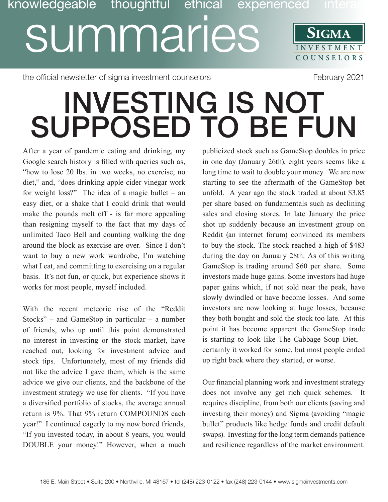## knowledgeable thoughtful ethical experienced inte summaries **SIGMA INVESTMENT COUNSE L O R S**

the official newsletter of sigma investment counselors Theorem 2021

## INVESTING IS NOT SUPPOSED TO BE FUN

After a year of pandemic eating and drinking, my Google search history is filled with queries such as, "how to lose 20 lbs. in two weeks, no exercise, no diet," and, "does drinking apple cider vinegar work for weight loss?" The idea of a magic bullet – an easy diet, or a shake that I could drink that would make the pounds melt off - is far more appealing than resigning myself to the fact that my days of unlimited Taco Bell and counting walking the dog around the block as exercise are over. Since I don't want to buy a new work wardrobe, I'm watching what I eat, and committing to exercising on a regular basis. It's not fun, or quick, but experience shows it works for most people, myself included.

With the recent meteoric rise of the "Reddit Stocks" – and GameStop in particular – a number of friends, who up until this point demonstrated no interest in investing or the stock market, have reached out, looking for investment advice and stock tips. Unfortunately, most of my friends did not like the advice I gave them, which is the same advice we give our clients, and the backbone of the investment strategy we use for clients. "If you have a diversified portfolio of stocks, the average annual return is 9%. That 9% return COMPOUNDS each year!" I continued eagerly to my now bored friends, "If you invested today, in about 8 years, you would DOUBLE your money!" However, when a much publicized stock such as GameStop doubles in price in one day (January 26th), eight years seems like a long time to wait to double your money. We are now starting to see the aftermath of the GameStop bet unfold. A year ago the stock traded at about \$3.85 per share based on fundamentals such as declining sales and closing stores. In late January the price shot up suddenly because an investment group on Reddit (an internet forum) convinced its members to buy the stock. The stock reached a high of \$483 during the day on January 28th. As of this writing GameStop is trading around \$60 per share. Some investors made huge gains. Some investors had huge paper gains which, if not sold near the peak, have slowly dwindled or have become losses. And some investors are now looking at huge losses, because they both bought and sold the stock too late. At this point it has become apparent the GameStop trade is starting to look like The Cabbage Soup Diet, – certainly it worked for some, but most people ended up right back where they started, or worse.

Our financial planning work and investment strategy does not involve any get rich quick schemes. It requires discipline, from both our clients (saving and investing their money) and Sigma (avoiding "magic bullet" products like hedge funds and credit default swaps). Investing for the long term demands patience and resilience regardless of the market environment.